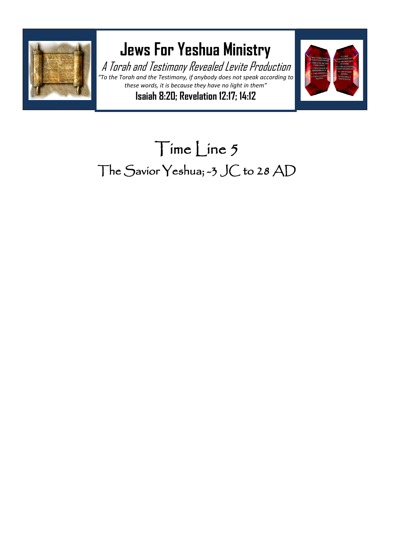

## **Jews For Yeshua Ministry**

A Torah and Testimony Revealed Levite Production *"To the Torah and the Testimony, if anybody does not speak according to these words, it is because they have no light in them"* **Isaiah 8:20; Revelation 12:17; 14:12**



## Time Line 5 The Savior Yeshua; -3 JC to 28 AD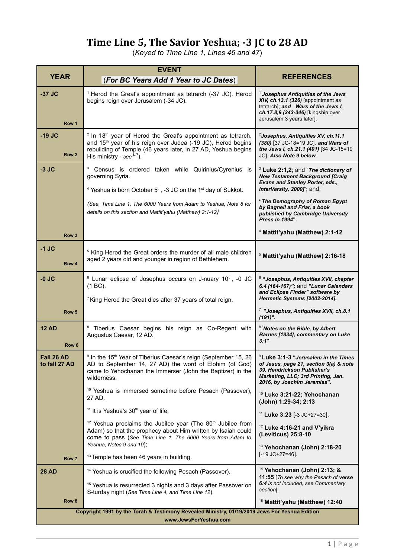## **Time Line 5, The Savior Yeshua; -3 JC to 28 AD**

(*Keyed to Time Line 1, Lines 46 and 47*)

| <b>YEAR</b>                                                                                                            | <b>EVENT</b><br>(For BC Years Add 1 Year to JC Dates)                                                                                                                                                                                                                      | <b>REFERENCES</b>                                                                                                                                                                             |
|------------------------------------------------------------------------------------------------------------------------|----------------------------------------------------------------------------------------------------------------------------------------------------------------------------------------------------------------------------------------------------------------------------|-----------------------------------------------------------------------------------------------------------------------------------------------------------------------------------------------|
| $-37$ JC<br>Row 1                                                                                                      | <sup>1</sup> Herod the Great's appointment as tetrarch (-37 JC). Herod<br>begins reign over Jerusalem (-34 JC).                                                                                                                                                            | $^1$ Josephus Antiquities of the Jews<br>XIV, ch.13.1 (326) [appointment as<br>tetrarch]; and Wars of the Jews I,<br>ch.17.8,9 (343-346) [kingship over<br>Jerusalem 3 years later].          |
| $-19$ JC<br>Row <sub>2</sub>                                                                                           | <sup>2</sup> In 18 <sup>th</sup> year of Herod the Great's appointment as tetrarch,<br>and 15 <sup>th</sup> year of his reign over Judea (-19 JC), Herod begins<br>rebuilding of Temple (46 years later, in 27 AD, Yeshua begins<br>His ministry - see $L$ <sup>7</sup> ). | <sup>2</sup> Josephus, Antiquities XV, ch.11.1<br>(380) [37 JC-18=19 JC], and Wars of<br>the Jews I, ch.21.1 (401) [34 JC-15=19<br>JC]. Also Note 9 below.                                    |
| $-3$ JC                                                                                                                | 3<br>Census is ordered taken while Quirinius/Cyrenius is<br>governing Syria.<br><sup>4</sup> Yeshua is born October $5th$ , -3 JC on the 1 <sup>st</sup> day of Sukkot.                                                                                                    | $3$ Luke 2:1,2; and "The dictionary of<br><b>New Testament Background [Craig</b><br>Evans and Stanley Porter, eds.,<br>InterVarsity, 2000J"; and,                                             |
|                                                                                                                        | (See, Time Line 1, The 6000 Years from Adam to Yeshua, Note 8 for<br>details on this section and Mattit'yahu (Matthew) 2:1-12)                                                                                                                                             | "The Demography of Roman Egypt<br>by Bagnell and Friar, a book<br>published by Cambridge University<br>Press in 1994".                                                                        |
| Row <sub>3</sub>                                                                                                       |                                                                                                                                                                                                                                                                            | <sup>4</sup> Mattit'yahu (Matthew) 2:1-12                                                                                                                                                     |
| $-1$ JC<br>Row 4                                                                                                       | <sup>5</sup> King Herod the Great orders the murder of all male children<br>aged 2 years old and younger in region of Bethlehem.                                                                                                                                           | <sup>5</sup> Mattit'yahu (Matthew) 2:16-18                                                                                                                                                    |
| $-0$ JC                                                                                                                | <sup>6</sup> Lunar eclipse of Josephus occurs on J-nuary 10 <sup>th</sup> , -0 JC<br>$(1 BC)$ .<br><sup>7</sup> King Herod the Great dies after 37 years of total reign.                                                                                                   | <sup>6</sup> "Josephus, Antiquities XVII, chapter<br>6.4 (164-167)"; and "Lunar Calendars<br>and Eclipse Finder" software by<br>Hermetic Systems [2002-2014].                                 |
| Row 5                                                                                                                  |                                                                                                                                                                                                                                                                            | <sup>7</sup> "Josephus, Antiquities XVII, ch.8.1<br>$(191)$ ".                                                                                                                                |
| <b>12 AD</b><br>Row <sub>6</sub>                                                                                       | <sup>8</sup> Tiberius Caesar begins his reign as Co-Regent with<br>Augustus Caesar, 12 AD.                                                                                                                                                                                 | <sup>8</sup> Notes on the Bible, by Albert<br>Barnes [1834], commentary on Luke<br>3:1"                                                                                                       |
| Fall 26 AD<br>to fall 27 AD                                                                                            | <sup>9</sup> In the 15 <sup>th</sup> Year of Tiberius Caesar's reign (September 15, 26<br>AD to September 14, 27 AD) the word of Elohim (of God)<br>came to Yehochanan the Immerser (John the Baptizer) in the<br>wilderness.                                              | <sup>9</sup> Luke 3:1-3 "Jerusalem in the Times<br>of Jesus, page 21, section 3(a) & note<br>39. Hendrickson Publisher's<br>Marketing, LLC; 3rd Printing, Jan.<br>2016, by Joachim Jeremias". |
|                                                                                                                        | <sup>10</sup> Yeshua is immersed sometime before Pesach (Passover),<br>27 AD.                                                                                                                                                                                              | <sup>10</sup> Luke 3:21-22; Yehochanan<br>(John) 1:29-34; 2:13                                                                                                                                |
|                                                                                                                        | <sup>11</sup> It is Yeshua's 30 <sup>th</sup> year of life.                                                                                                                                                                                                                | <sup>11</sup> Luke 3:23 [-3 JC+27=30].                                                                                                                                                        |
|                                                                                                                        | <sup>12</sup> Yeshua proclaims the Jubilee year (The 80 <sup>th</sup> Jubilee from<br>Adam) so that the prophecy about Him written by Isaiah could<br>come to pass (See Time Line 1, The 6000 Years from Adam to<br>Yeshua, Notes 9 and 10);                               | <sup>12</sup> Luke 4:16-21 and V'yikra<br>(Leviticus) 25:8-10<br><sup>13</sup> Yehochanan (John) 2:18-20                                                                                      |
| Row 7                                                                                                                  | <sup>13</sup> Temple has been 46 years in building.                                                                                                                                                                                                                        | $[-19 \text{ JC}+27=46]$ .                                                                                                                                                                    |
| <b>28 AD</b>                                                                                                           | <sup>14</sup> Yeshua is crucified the following Pesach (Passover).<br><sup>15</sup> Yeshua is resurrected 3 nights and 3 days after Passover on<br>S-turday night (See Time Line 4, and Time Line 12).                                                                     | <sup>14</sup> Yehochanan (John) 2:13; &<br>11:55 [To see why the Pesach of verse<br>6:4 is not included, see Commentary<br>section].                                                          |
| Row 8                                                                                                                  |                                                                                                                                                                                                                                                                            | <sup>15</sup> Mattit'yahu (Matthew) 12:40                                                                                                                                                     |
| Copyright 1991 by the Torah & Testimony Revealed Ministry, 01/19/2019 Jews For Yeshua Edition<br>www.JewsForYeshua.com |                                                                                                                                                                                                                                                                            |                                                                                                                                                                                               |